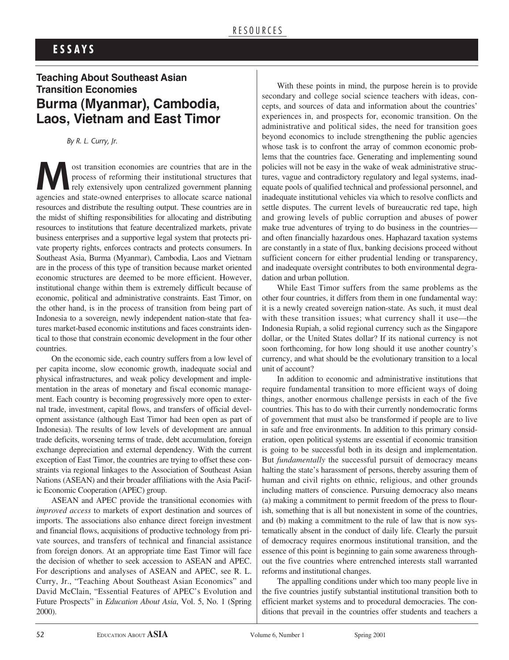## **E S S A Y S**

# **Teaching About Southeast Asian Transition Economies Burma (Myanmar), Cambodia, Laos, Vietnam and East Timor**

*By R. L. Curry, Jr.*

ost transition economies are countries that are in the process of reforming their institutional structures that rely extensively upon centralized government planning process of reforming their institutional structures that rely extensively upon centralized government planning agencies and state-owned enterprises to allocate scarce national resources and distribute the resulting output. These countries are in the midst of shifting responsibilities for allocating and distributing resources to institutions that feature decentralized markets, private business enterprises and a supportive legal system that protects private property rights, enforces contracts and protects consumers. In Southeast Asia, Burma (Myanmar), Cambodia, Laos and Vietnam are in the process of this type of transition because market oriented economic structures are deemed to be more efficient. However, institutional change within them is extremely difficult because of economic, political and administrative constraints. East Timor, on the other hand, is in the process of transition from being part of Indonesia to a sovereign, newly independent nation-state that features market-based economic institutions and faces constraints identical to those that constrain economic development in the four other countries.

On the economic side, each country suffers from a low level of per capita income, slow economic growth, inadequate social and physical infrastructures, and weak policy development and implementation in the areas of monetary and fiscal economic management. Each country is becoming progressively more open to external trade, investment, capital flows, and transfers of official development assistance (although East Timor had been open as part of Indonesia). The results of low levels of development are annual trade deficits, worsening terms of trade, debt accumulation, foreign exchange depreciation and external dependency. With the current exception of East Timor, the countries are trying to offset these constraints via regional linkages to the Association of Southeast Asian Nations (ASEAN) and their broader affiliations with the Asia Pacific Economic Cooperation (APEC) group.

ASEAN and APEC provide the transitional economies with *improved access* to markets of export destination and sources of imports. The associations also enhance direct foreign investment and financial flows, acquisitions of productive technology from private sources, and transfers of technical and financial assistance from foreign donors. At an appropriate time East Timor will face the decision of whether to seek accession to ASEAN and APEC. For descriptions and analyses of ASEAN and APEC, see R. L. Curry, Jr., "Teaching About Southeast Asian Economics" and David McClain, "Essential Features of APEC's Evolution and Future Prospects" in *Education About Asia*, Vol. 5, No. 1 (Spring 2000).

With these points in mind, the purpose herein is to provide secondary and college social science teachers with ideas, concepts, and sources of data and information about the countries' experiences in, and prospects for, economic transition. On the administrative and political sides, the need for transition goes beyond economics to include strengthening the public agencies whose task is to confront the array of common economic problems that the countries face. Generating and implementing sound policies will not be easy in the wake of weak administrative structures, vague and contradictory regulatory and legal systems, inadequate pools of qualified technical and professional personnel, and inadequate institutional vehicles via which to resolve conflicts and settle disputes. The current levels of bureaucratic red tape, high and growing levels of public corruption and abuses of power make true adventures of trying to do business in the countries and often financially hazardous ones. Haphazard taxation systems are constantly in a state of flux, banking decisions proceed without sufficient concern for either prudential lending or transparency, and inadequate oversight contributes to both environmental degradation and urban pollution.

While East Timor suffers from the same problems as the other four countries, it differs from them in one fundamental way: it is a newly created sovereign nation-state. As such, it must deal with these transition issues; what currency shall it use—the Indonesia Rupiah, a solid regional currency such as the Singapore dollar, or the United States dollar? If its national currency is not soon forthcoming, for how long should it use another country's currency, and what should be the evolutionary transition to a local unit of account?

In addition to economic and administrative institutions that require fundamental transition to more efficient ways of doing things, another enormous challenge persists in each of the five countries. This has to do with their currently nondemocratic forms of government that must also be transformed if people are to live in safe and free environments. In addition to this primary consideration, open political systems are essential if economic transition is going to be successful both in its design and implementation. But *fundamentally* the successful pursuit of democracy means halting the state's harassment of persons, thereby assuring them of human and civil rights on ethnic, religious, and other grounds including matters of conscience. Pursuing democracy also means (a) making a commitment to permit freedom of the press to flourish, something that is all but nonexistent in some of the countries, and (b) making a commitment to the rule of law that is now systematically absent in the conduct of daily life. Clearly the pursuit of democracy requires enormous institutional transition, and the essence of this point is beginning to gain some awareness throughout the five countries where entrenched interests stall warranted reforms and institutional changes.

The appalling conditions under which too many people live in the five countries justify substantial institutional transition both to efficient market systems and to procedural democracies. The conditions that prevail in the countries offer students and teachers a